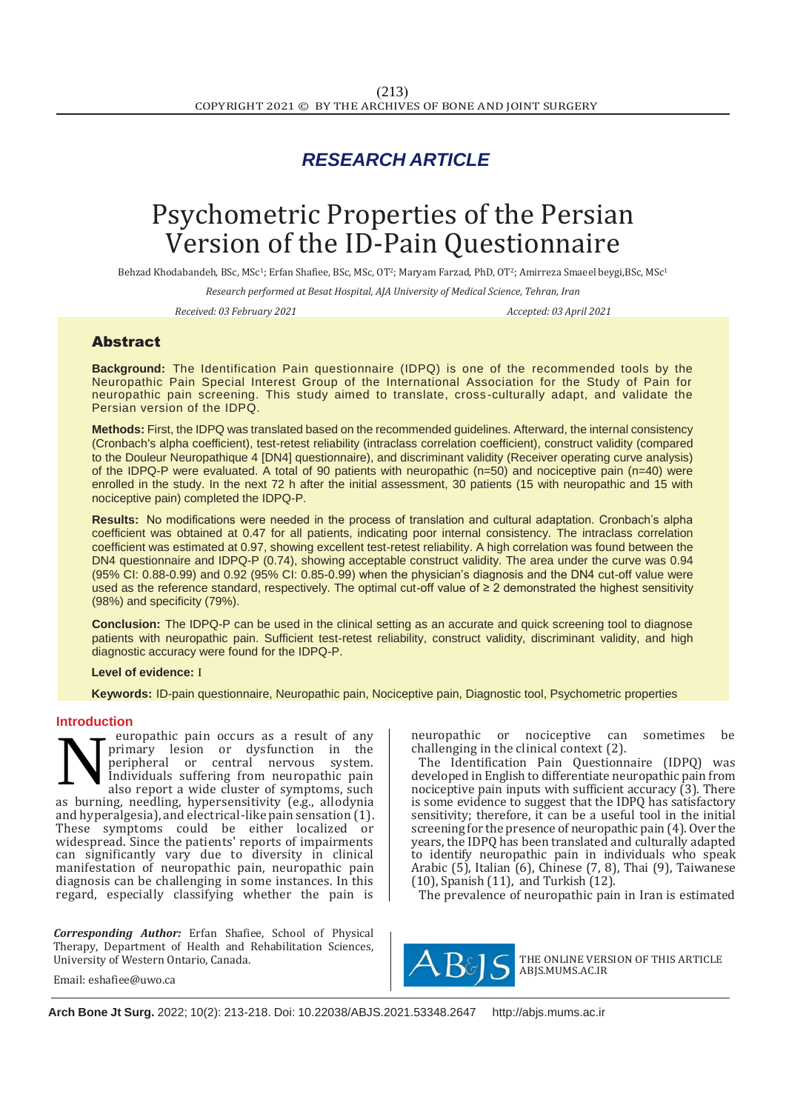# *RESEARCH ARTICLE*

# Psychometric Properties of the Persian Version of the ID-Pain Questionnaire

Behzad Khodabandeh, BSc, MSc1; Erfan Shafiee, BSc, MSc, OT2; Maryam Farzad, PhD, OT2; Amirreza Smaeel beygi,BSc, MSc<sup>1</sup>

*Research performed at Besat Hospital, AJA University of Medical Science, Tehran, Iran*

*Received: 03 February 2021 Accepted: 03 April 2021*

## Abstract

**Background:** The Identification Pain questionnaire (IDPQ) is one of the recommended tools by the Neuropathic Pain Special Interest Group of the International Association for the Study of Pain for neuropathic pain screening. This study aimed to translate, cross -culturally adapt, and validate the Persian version of the IDPQ.

**Methods:** First, the IDPQ was translated based on the recommended guidelines. Afterward, the internal consistency (Cronbach's alpha coefficient), test-retest reliability (intraclass correlation coefficient), construct validity (compared to the Douleur Neuropathique 4 [DN4] questionnaire), and discriminant validity (Receiver operating curve analysis) of the IDPQ-P were evaluated. A total of 90 patients with neuropathic (n=50) and nociceptive pain (n=40) were enrolled in the study. In the next 72 h after the initial assessment, 30 patients (15 with neuropathic and 15 with nociceptive pain) completed the IDPQ-P.

**Results:** No modifications were needed in the process of translation and cultural adaptation. Cronbach's alpha coefficient was obtained at 0.47 for all patients, indicating poor internal consistency. The intraclass correlation coefficient was estimated at 0.97, showing excellent test-retest reliability. A high correlation was found between the DN4 questionnaire and IDPQ-P (0.74), showing acceptable construct validity. The area under the curve was 0.94 (95% CI: 0.88-0.99) and 0.92 (95% CI: 0.85-0.99) when the physician's diagnosis and the DN4 cut-off value were used as the reference standard, respectively. The optimal cut-off value of ≥ 2 demonstrated the highest sensitivity (98%) and specificity (79%).

**Conclusion:** The IDPQ-P can be used in the clinical setting as an accurate and quick screening tool to diagnose patients with neuropathic pain. Sufficient test-retest reliability, construct validity, discriminant validity, and high diagnostic accuracy were found for the IDPQ-P.

#### **Level of evidence:** I

 **Keywords:** ID-pain questionnaire, Neuropathic pain, Nociceptive pain, Diagnostic tool, Psychometric properties

#### **Introduction**

europathic pain occurs as a result of any primary lesion or dysfunction in the<br>peripheral or central nervous system. peripheral or central nervous Individuals suffering from neuropathic pain also report a wide cluster of symptoms, such as burning, needling, hypersensitivity (e.g., allodynia and hyperalgesia), and electrical-like pain sensation (1). These symptoms could be either localized or widespread. Since the patients' reports of impairments can significantly vary due to diversity in clinical manifestation of neuropathic pain, neuropathic pain diagnosis can be challenging in some instances. In this regard, especially classifying whether the pain is N

*Corresponding Author:* Erfan Shafiee, School of Physical Therapy, Department of Health and Rehabilitation Sciences, University of Western Ontario, Canada.

neuropathic or nociceptive can sometimes be challenging in the clinical context (2).

The Identification Pain Questionnaire (IDPQ) was developed in English to differentiate neuropathic pain from nociceptive pain inputs with sufficient accuracy (3). There is some evidence to suggest that the IDPQ has satisfactory sensitivity; therefore, it can be a useful tool in the initial screening for the presence of neuropathic pain (4). Over the years, the IDPQ has been translated and culturally adapted to identify neuropathic pain in individuals who speak Arabic (5), Italian (6), Chinese (7, 8), Thai (9), Taiwanese (10), Spanish (11), and Turkish (12).

The prevalence of neuropathic pain in Iran is estimated



THE ONLINE VERSION OF THIS ARTICLE ABJS.MUMS.AC.IR

Email: [eshafiee@uwo.ca](mailto:eshafiee@uwo.ca)

Email: mmsarzaeem@yahoo.com **Arch Bone Jt Surg.** 2022; 10(2): 213-218. Doi: [10.22038/ABJS.2021.53348.2647](https://dx.doi.org/10.22038/abjs.2021.53348.2647) [http://abjs.mums.ac.ir](http://abjs.mums.ac.ir/)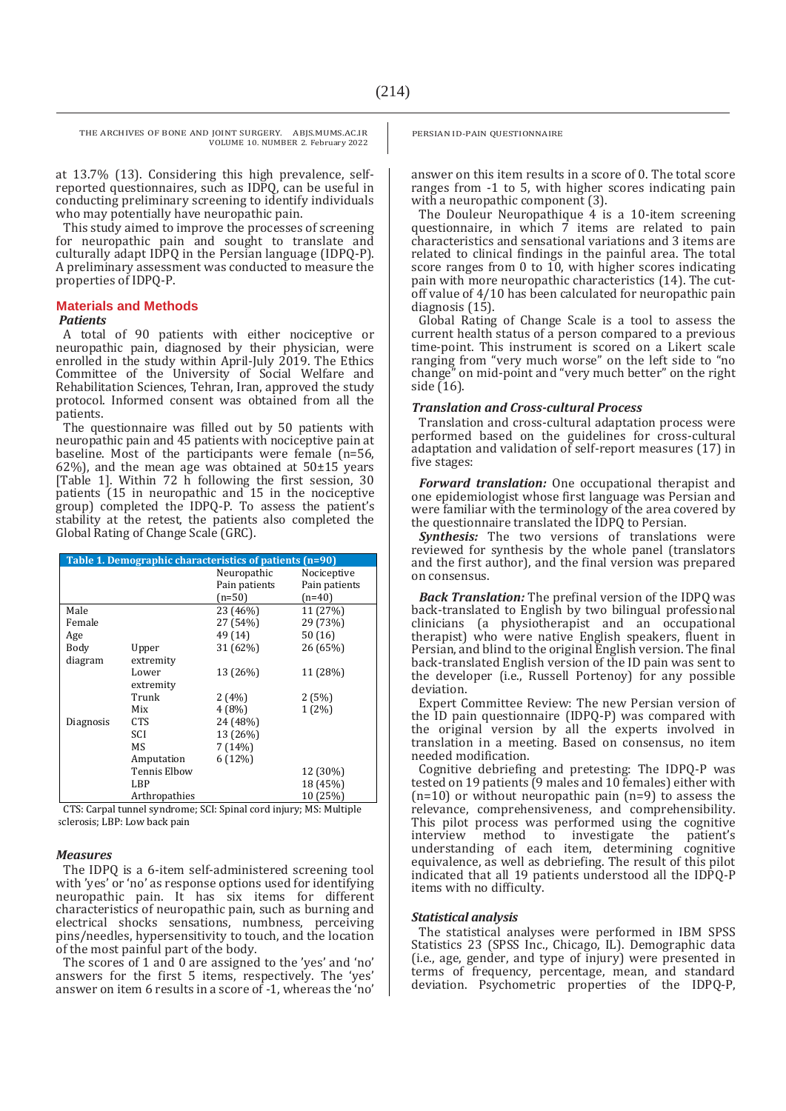at 13.7% (13). Considering this high prevalence, selfreported questionnaires, such as IDPQ, can be useful in conducting preliminary screening to identify individuals who may potentially have neuropathic pain.

This study aimed to improve the processes of screening for neuropathic pain and sought to translate and culturally adapt IDPQ in the Persian language (IDPQ-P). A preliminary assessment was conducted to measure the properties of IDPQ-P.

#### **Materials and Methods**

#### *Patients*

A total of 90 patients with either nociceptive or neuropathic pain, diagnosed by their physician, were enrolled in the study within April-July 2019. The Ethics Committee of the University of Social Welfare and Rehabilitation Sciences, Tehran, Iran, approved the study protocol. Informed consent was obtained from all the patients.

The questionnaire was filled out by 50 patients with neuropathic pain and 45 patients with nociceptive pain at baseline. Most of the participants were female (n=56, 62%), and the mean age was obtained at  $50\pm15$  years [Table 1]. Within 72 h following the first session, 30 patients (15 in neuropathic and 15 in the nociceptive group) completed the IDPQ-P. To assess the patient's stability at the retest, the patients also completed the Global Rating of Change Scale (GRC).

| Table 1. Demographic characteristics of patients (n=90) |  |  |  |  |  |
|---------------------------------------------------------|--|--|--|--|--|
| Nociceptive<br>Neuropathic                              |  |  |  |  |  |
| Pain patients<br>Pain patients                          |  |  |  |  |  |
| $(n=50)$<br>$(n=40)$                                    |  |  |  |  |  |
| Male<br>23 (46%)<br>11 (27%)                            |  |  |  |  |  |
| 29 (73%)<br>27 (54%)<br>Female                          |  |  |  |  |  |
| 49 (14)<br>50(16)<br>Age                                |  |  |  |  |  |
| 31 (62%)<br>26 (65%)<br>Body<br>Upper                   |  |  |  |  |  |
| diagram<br>extremity                                    |  |  |  |  |  |
| 13 (26%)<br>11 (28%)<br>Lower                           |  |  |  |  |  |
| extremity                                               |  |  |  |  |  |
| Trunk<br>2(5%)<br>2(4%)                                 |  |  |  |  |  |
| Mix<br>4(8%)<br>$1(2\%)$                                |  |  |  |  |  |
| 24 (48%)<br><b>CTS</b><br>Diagnosis                     |  |  |  |  |  |
| SCI<br>13 (26%)                                         |  |  |  |  |  |
| MS<br>7 (14%)                                           |  |  |  |  |  |
| 6(12%)<br>Amputation                                    |  |  |  |  |  |
| <b>Tennis Elbow</b><br>12 (30%)                         |  |  |  |  |  |
| 18 (45%)<br>LBP                                         |  |  |  |  |  |
| 10 (25%)<br>Arthropathies                               |  |  |  |  |  |

TS: Carpal tunnel syndrome; SCI: Spinal cord injury; MS: Multiple sclerosis; LBP: Low back pain

#### *Measures*

The IDPQ is a 6-item self-administered screening tool with 'yes' or 'no' as response options used for identifying neuropathic pain. It has six items for different characteristics of neuropathic pain, such as burning and electrical shocks sensations, numbness, perceiving pins/needles, hypersensitivity to touch, and the location of the most painful part of the body.

The scores of 1 and 0 are assigned to the 'yes' and 'no' answers for the first 5 items, respectively. The 'yes' answer on item 6 results in a score of -1, whereas the 'no' PERSIAN ID-PAIN QUESTIONNAIRE

answer on this item results in a score of 0. The total score ranges from -1 to 5, with higher scores indicating pain with a neuropathic component (3).

The Douleur Neuropathique 4 is a 10-item screening questionnaire, in which 7 items are related to pain characteristics and sensational variations and 3 items are related to clinical findings in the painful area. The total score ranges from 0 to 10, with higher scores indicating pain with more neuropathic characteristics (14). The cutoff value of 4/10 has been calculated for neuropathic pain diagnosis (15).

Global Rating of Change Scale is a tool to assess the current health status of a person compared to a previous time-point. This instrument is scored on a Likert scale ranging from "very much worse" on the left side to "no change" on mid-point and "very much better" on the right side  $(16)$ .

#### *Translation and Cross-cultural Process*

Translation and cross-cultural adaptation process were performed based on the guidelines for cross-cultural adaptation and validation of self-report measures (17) in five stages:

*Forward translation:* One occupational therapist and one epidemiologist whose first language was Persian and were familiar with the terminology of the area covered by the questionnaire translated the IDPQ to Persian.

*Synthesis:* The two versions of translations were reviewed for synthesis by the whole panel (translators and the first author), and the final version was prepared on consensus.

*Back Translation:* The prefinal version of the IDPQ was back-translated to English by two bilingual professional clinicians (a physiotherapist and an occupational therapist) who were native English speakers, fluent in Persian, and blind to the original English version. The final back-translated English version of the ID pain was sent to the developer (i.e., Russell Portenoy) for any possible deviation.

Expert Committee Review: The new Persian version of the ID pain questionnaire (IDPQ-P) was compared with the original version by all the experts involved in translation in a meeting. Based on consensus, no item needed modification.

Cognitive debriefing and pretesting: The IDPQ-P was tested on 19 patients (9 males and 10 females) either with  $(n=10)$  or without neuropathic pain  $(n=9)$  to assess the relevance, comprehensiveness, and comprehensibility. This pilot process was performed using the cognitive interview method to investigate the patient's understanding of each item, determining cognitive equivalence, as well as debriefing. The result of this pilot indicated that all 19 patients understood all the IDPQ-P items with no difficulty.

#### *Statistical analysis*

The statistical analyses were performed in IBM SPSS Statistics 23 (SPSS Inc., Chicago, IL). Demographic data (i.e., age, gender, and type of injury) were presented in terms of frequency, percentage, mean, and standard deviation. Psychometric properties of the IDPQ-P,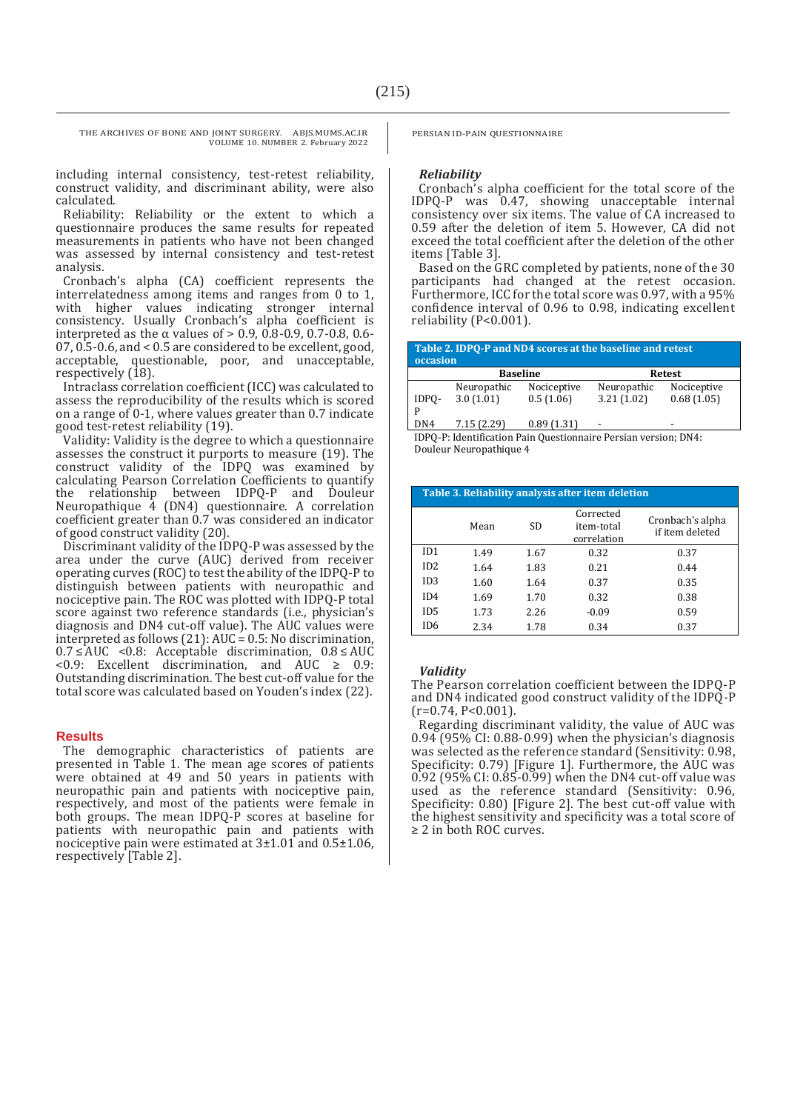including internal consistency, test-retest reliability, construct validity, and discriminant ability, were also calculated.

Reliability: Reliability or the extent to which a questionnaire produces the same results for repeated measurements in patients who have not been changed was assessed by internal consistency and test-retest analysis.

Cronbach's alpha (CA) coefficient represents the interrelatedness among items and ranges from 0 to 1, with higher values indicating stronger internal consistency. Usually Cronbach's alpha coefficient is interpreted as the α values of > 0.9, 0.8-0.9, 0.7-0.8, 0.6- 07, 0.5-0.6, and < 0.5 are considered to be excellent, good, acceptable, questionable, poor, and unacceptable, respectively (18).

Intraclass correlation coefficient (ICC) was calculated to assess the reproducibility of the results which is scored on a range of 0-1, where values greater than 0.7 indicate good test-retest reliability (19).

Validity: Validity is the degree to which a questionnaire assesses the construct it purports to measure (19). The construct validity of the IDPQ was examined by calculating Pearson Correlation Coefficients to quantify the relationship between IDPQ-P and Douleur Neuropathique 4 (DN4) questionnaire. A correlation coefficient greater than 0.7 was considered an indicator of good construct validity (20).

Discriminant validity of the IDPQ-P was assessed by the area under the curve (AUC) derived from receiver operating curves (ROC) to test the ability of the IDPQ-P to distinguish between patients with neuropathic and nociceptive pain. The ROC was plotted with IDPQ-P total score against two reference standards (i.e., physician's diagnosis and DN4 cut-off value). The AUC values were interpreted as follows (21): AUC = 0.5: No discrimination, 0.7 ≤ AUC <0.8: Acceptable discrimination, 0.8 ≤ AUC <0.9: Excellent discrimination, and AUC ≥ 0.9: Outstanding discrimination. The best cut-off value for the total score was calculated based on Youden's index (22).

#### **Results**

The demographic characteristics of patients are presented in Table 1. The mean age scores of patients were obtained at 49 and 50 years in patients with neuropathic pain and patients with nociceptive pain, respectively, and most of the patients were female in both groups. The mean IDPQ-P scores at baseline for patients with neuropathic pain and patients with nociceptive pain were estimated at 3±1.01 and 0.5±1.06, respectively [Table 2].

PERSIAN ID-PAIN QUESTIONNAIRE

#### *Reliability*

Cronbach's alpha coefficient for the total score of the IDPQ-P was 0.47, showing unacceptable internal consistency over six items. The value of CA increased to 0.59 after the deletion of item 5. However, CA did not exceed the total coefficient after the deletion of the other items [Table 3].

Based on the GRC completed by patients, none of the 30 participants had changed at the retest occasion. Furthermore, ICC for the total score was 0.97, with a 95% confidence interval of 0.96 to 0.98, indicating excellent reliability (P<0.001).

| Table 2. IDPQ-P and ND4 scores at the baseline and retest<br>occasion |                 |             |             |             |  |  |
|-----------------------------------------------------------------------|-----------------|-------------|-------------|-------------|--|--|
|                                                                       | <b>Baseline</b> |             | Retest      |             |  |  |
|                                                                       | Neuropathic     | Nociceptive | Neuropathic | Nociceptive |  |  |
| IDPO-                                                                 | 3.0(1.01)       | 0.5(1.06)   | 3.21(1.02)  | 0.68(1.05)  |  |  |
| D                                                                     |                 |             |             |             |  |  |
| DN4                                                                   | 7.15(2.29)      | 0.89(1.31)  | ۰           | -           |  |  |
| $\mathbf{u} \cdot \mathbf{v}$                                         |                 |             |             |             |  |  |

IDPQ-P: Identification Pain Questionnaire Persian version; DN4: Douleur Neuropathique 4

| Table 3. Reliability analysis after item deletion |      |      |                                        |                                     |  |  |  |
|---------------------------------------------------|------|------|----------------------------------------|-------------------------------------|--|--|--|
|                                                   | Mean | SD.  | Corrected<br>item-total<br>correlation | Cronbach's alpha<br>if item deleted |  |  |  |
| ID1                                               | 1.49 | 1.67 | 0.32                                   | 0.37                                |  |  |  |
| ID2                                               | 1.64 | 1.83 | 0.21                                   | 0.44                                |  |  |  |
| ID <sub>3</sub>                                   | 1.60 | 1.64 | 0.37                                   | 0.35                                |  |  |  |
| ID4                                               | 1.69 | 1.70 | 0.32                                   | 0.38                                |  |  |  |
| ID5                                               | 1.73 | 2.26 | $-0.09$                                | 0.59                                |  |  |  |
| ID <sub>6</sub>                                   | 2.34 | 1.78 | 0.34                                   | 0.37                                |  |  |  |

#### *Validity*

The Pearson correlation coefficient between the IDPQ-P and DN4 indicated good construct validity of the IDPQ-P  $(r=0.74, P<0.001)$ .

Regarding discriminant validity, the value of AUC was 0.94 (95% CI: 0.88-0.99) when the physician's diagnosis was selected as the reference standard (Sensitivity: 0.98, Specificity: 0.79) [Figure 1]. Furthermore, the AUC was 0.92 (95% CI: 0.85-0.99) when the DN4 cut-off value was used as the reference standard (Sensitivity: 0.96, Specificity: 0.80) [Figure 2]. The best cut-off value with the highest sensitivity and specificity was a total score of ≥ 2 in both ROC curves.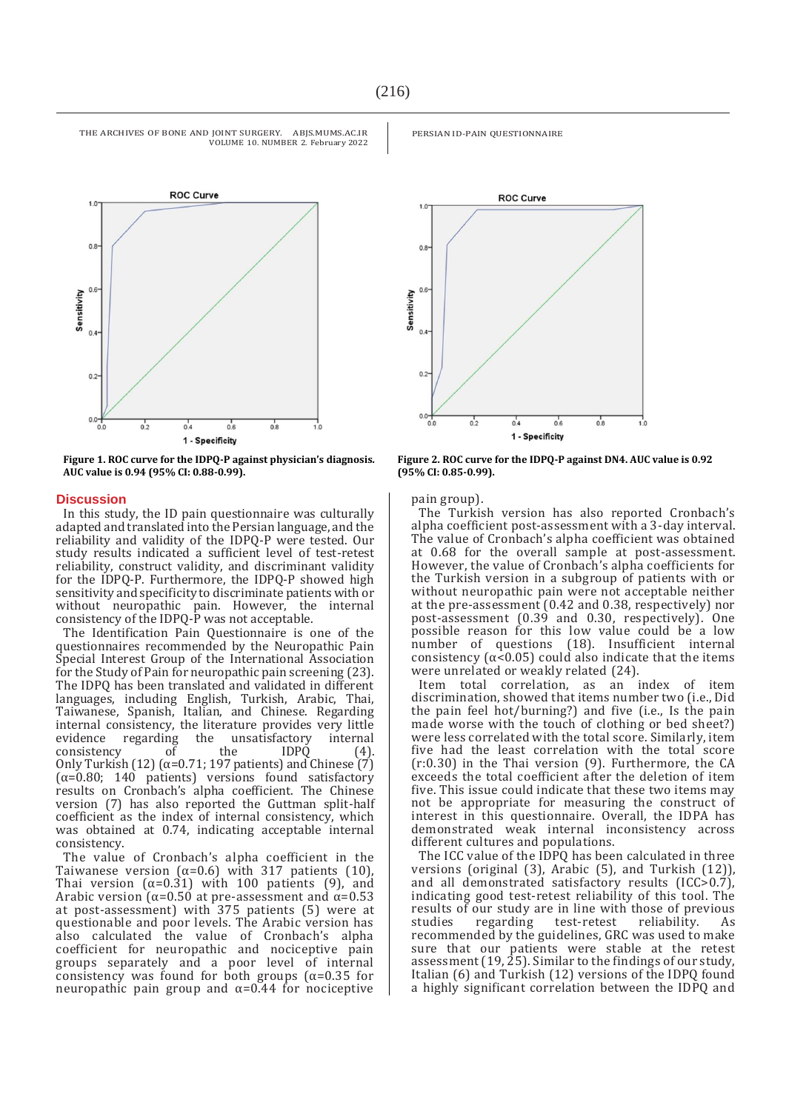

**Figure 1. ROC curve for the IDPQ-P against physician's diagnosis. AUC value is 0.94 (95% CI: 0.88-0.99).**

#### **Discussion**

In this study, the ID pain questionnaire was culturally adapted and translated into the Persian language, and the reliability and validity of the IDPQ-P were tested. Our study results indicated a sufficient level of test-retest reliability, construct validity, and discriminant validity for the IDPQ-P. Furthermore, the IDPQ-P showed high sensitivity and specificity to discriminate patients with or without neuropathic pain. However, the internal consistency of the IDPQ-P was not acceptable.

The Identification Pain Questionnaire is one of the questionnaires recommended by the Neuropathic Pain Special Interest Group of the International Association for the Study of Pain for neuropathic pain screening (23). The IDPQ has been translated and validated in different languages, including English, Turkish, Arabic, Thai, Taiwanese, Spanish, Italian, and Chinese. Regarding internal consistency, the literature provides very little evidence regarding the unsatisfactory internal consistency of the IDPQ (4). Only Turkish (12) ( $\alpha$ =0.71; 197 patients) and Chinese (7) ( $\alpha$ =0.80; 140 patients) versions found satisfactory results on Cronbach's alpha coefficient. The Chinese version (7) has also reported the Guttman split-half coefficient as the index of internal consistency, which was obtained at 0.74, indicating acceptable internal consistency.

The value of Cronbach's alpha coefficient in the Taiwanese version ( $\alpha$ =0.6) with 317 patients (10), Thai version  $(\alpha=0.31)$  with 100 patients (9), and Arabic version ( $\alpha$ =0.50 at pre-assessment and  $\alpha$ =0.53 at post-assessment) with 375 patients (5) were at questionable and poor levels. The Arabic version has also calculated the value of Cronbach's alpha coefficient for neuropathic and nociceptive pain groups separately and a poor level of internal consistency was found for both groups  $(\alpha=0.35$  for neuropathic pain group and  $α=0.44$  for nociceptive



 $0.4$ 

PERSIAN ID-PAIN QUESTIONNAIRE

**Figure 2. ROC curve for the IDPQ-P against DN4. AUC value is 0.92 (95% CI: 0.85-0.99).**

1 - Specificity

 $0.6$ 

 $0.8$ 

pain group).

 $0.2$ 

 $0.0$ 

 $0.<sub>0</sub>$ 

The Turkish version has also reported Cronbach's alpha coefficient post-assessment with a 3-day interval. The value of Cronbach's alpha coefficient was obtained at 0.68 for the overall sample at post-assessment. However, the value of Cronbach's alpha coefficients for the Turkish version in a subgroup of patients with or without neuropathic pain were not acceptable neither at the pre-assessment (0.42 and 0.38, respectively) nor post-assessment (0.39 and 0.30, respectively). One possible reason for this low value could be a low number of questions (18). Insufficient internal consistency  $(\alpha < 0.05)$  could also indicate that the items were unrelated or weakly related (24).

Item total correlation, as an index of item discrimination, showed that items number two (i.e., Did the pain feel hot/burning?) and five (i.e., Is the pain made worse with the touch of clothing or bed sheet?) were less correlated with the total score. Similarly, item five had the least correlation with the total score (r:0.30) in the Thai version (9). Furthermore, the CA exceeds the total coefficient after the deletion of item five. This issue could indicate that these two items may not be appropriate for measuring the construct of interest in this questionnaire. Overall, the IDPA has demonstrated weak internal inconsistency across different cultures and populations.

The ICC value of the IDPQ has been calculated in three versions (original (3), Arabic (5), and Turkish (12)), and all demonstrated satisfactory results (ICC>0.7), indicating good test-retest reliability of this tool. The results of our study are in line with those of previous studies regarding test-retest reliability. As recommended by the guidelines, GRC was used to make sure that our patients were stable at the retest assessment (19, 25). Similar to the findings of our study, Italian (6) and Turkish (12) versions of the IDPQ found a highly significant correlation between the IDPQ and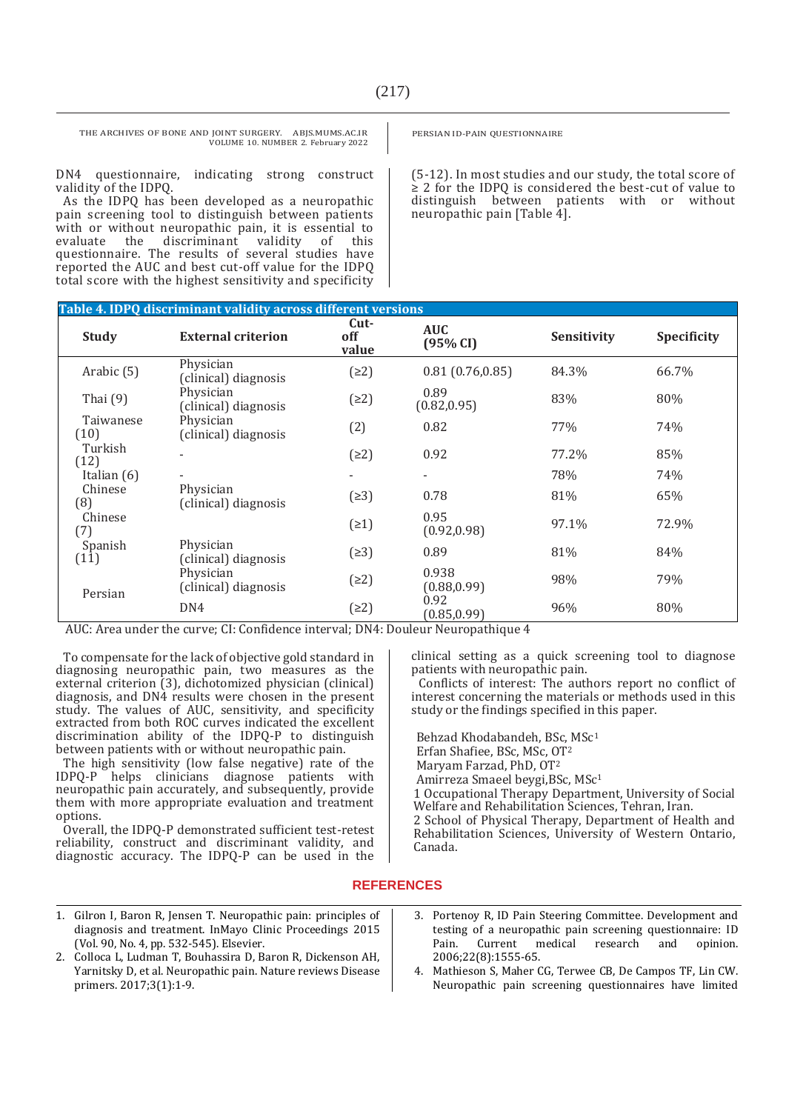DN4 questionnaire, indicating strong construct validity of the IDPQ.

As the IDPQ has been developed as a neuropathic pain screening tool to distinguish between patients with or without neuropathic pain, it is essential to evaluate the discriminant validity of this evaluate the discriminant validity of this questionnaire. The results of several studies have reported the AUC and best cut-off value for the IDPQ total score with the highest sensitivity and specificity

PERSIAN ID-PAIN QUESTIONNAIRE

(5-12). In most studies and our study, the total score of ≥ 2 for the IDPQ is considered the best-cut of value to distinguish between patients with or without neuropathic pain [Table 4].

| Table 4. IDPQ discriminant validity across different versions |                                   |                        |                          |             |                    |  |
|---------------------------------------------------------------|-----------------------------------|------------------------|--------------------------|-------------|--------------------|--|
| <b>Study</b>                                                  | <b>External criterion</b>         | $Cut-$<br>off<br>value | <b>AUC</b><br>(95% CI)   | Sensitivity | <b>Specificity</b> |  |
| Arabic (5)                                                    | Physician<br>(clinical) diagnosis | (22)                   | 0.81(0.76, 0.85)         | 84.3%       | 66.7%              |  |
| Thai $(9)$                                                    | Physician<br>(clinical) diagnosis | (22)                   | 0.89<br>(0.82, 0.95)     | 83%         | 80%                |  |
| Taiwanese<br>(10)                                             | Physician<br>(clinical) diagnosis | (2)                    | 0.82                     | 77%         | 74%                |  |
| Turkish<br>(12)                                               |                                   | (22)                   | 0.92                     | 77.2%       | 85%                |  |
| Italian $(6)$                                                 |                                   |                        | $\overline{\phantom{a}}$ | 78%         | 74%                |  |
| Chinese<br>(8)                                                | Physician<br>(clinical) diagnosis | (23)                   | 0.78                     | 81%         | 65%                |  |
| Chinese<br>(7)                                                |                                   | (21)                   | 0.95<br>(0.92, 0.98)     | 97.1%       | 72.9%              |  |
| Spanish<br>(11)                                               | Physician<br>(clinical) diagnosis | (23)                   | 0.89                     | 81%         | 84%                |  |
| Persian                                                       | Physician<br>(clinical) diagnosis | (22)                   | 0.938<br>(0.88, 0.99)    | 98%         | 79%                |  |
|                                                               | DN4                               | (22)                   | 0.92<br>(0.85, 0.99)     | 96%         | 80%                |  |

AUC: Area under the curve; CI: Confidence interval; DN4: Douleur Neuropathique 4

To compensate for the lack of objective gold standard in diagnosing neuropathic pain, two measures as the external criterion (3), dichotomized physician (clinical) diagnosis, and DN4 results were chosen in the present study. The values of AUC, sensitivity, and specificity extracted from both ROC curves indicated the excellent discrimination ability of the IDPQ-P to distinguish between patients with or without neuropathic pain.

The high sensitivity (low false negative) rate of the IDPQ-P helps clinicians diagnose patients with neuropathic pain accurately, and subsequently, provide them with more appropriate evaluation and treatment options.

Overall, the IDPQ-P demonstrated sufficient test-retest reliability, construct and discriminant validity, and diagnostic accuracy. The IDPQ-P can be used in the clinical setting as a quick screening tool to diagnose patients with neuropathic pain.

Conflicts of interest: The authors report no conflict of interest concerning the materials or methods used in this study or the findings specified in this paper.

Behzad Khodabandeh, BSc, MSc<sup>1</sup> Erfan Shafiee, BSc, MSc, OT<sup>2</sup> Maryam Farzad, PhD, OT<sup>2</sup> Amirreza Smaeel beygi,BSc, MSc<sup>1</sup> 1 Occupational Therapy Department, University of Social Welfare and Rehabilitation Sciences, Tehran, Iran. 2 School of Physical Therapy, Department of Health and Rehabilitation Sciences, University of Western Ontario, Canada.

### **REFERENCES**

- 1. Gilron I, Baron R, Jensen T. Neuropathic pain: principles of diagnosis and treatment. InMayo Clinic Proceedings 2015 (Vol. 90, No. 4, pp. 532-545). Elsevier.
- 2. Colloca L, Ludman T, Bouhassira D, Baron R, Dickenson AH, Yarnitsky D, et al. Neuropathic pain. Nature reviews Disease primers. 2017;3(1):1-9.
- 3. Portenoy R, ID Pain Steering Committee. Development and testing of a neuropathic pain screening questionnaire: ID Pain. Current medical research and opinion. 2006;22(8):1555-65.
- 4. Mathieson S, Maher CG, Terwee CB, De Campos TF, Lin CW. Neuropathic pain screening questionnaires have limited